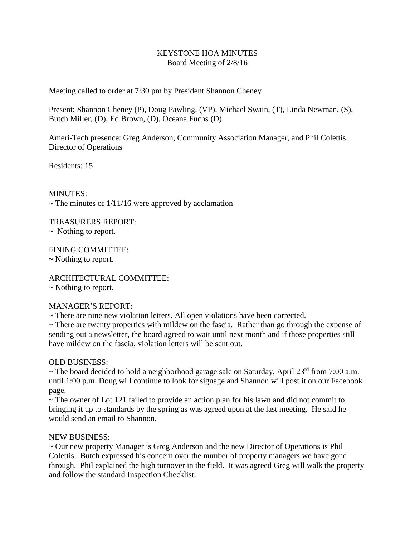# KEYSTONE HOA MINUTES Board Meeting of 2/8/16

Meeting called to order at 7:30 pm by President Shannon Cheney

Present: Shannon Cheney (P), Doug Pawling, (VP), Michael Swain, (T), Linda Newman, (S), Butch Miller, (D), Ed Brown, (D), Oceana Fuchs (D)

Ameri-Tech presence: Greg Anderson, Community Association Manager, and Phil Colettis, Director of Operations

Residents: 15

### MINUTES:

 $\sim$  The minutes of 1/11/16 were approved by acclamation

TREASURERS REPORT:

~ Nothing to report.

FINING COMMITTEE:

~ Nothing to report.

ARCHITECTURAL COMMITTEE:

## ~ Nothing to report.

## MANAGER'S REPORT:

 $\sim$  There are nine new violation letters. All open violations have been corrected.

 $\sim$  There are twenty properties with mildew on the fascia. Rather than go through the expense of sending out a newsletter, the board agreed to wait until next month and if those properties still have mildew on the fascia, violation letters will be sent out.

## OLD BUSINESS:

 $\sim$  The board decided to hold a neighborhood garage sale on Saturday, April 23<sup>rd</sup> from 7:00 a.m. until 1:00 p.m. Doug will continue to look for signage and Shannon will post it on our Facebook page.

~ The owner of Lot 121 failed to provide an action plan for his lawn and did not commit to bringing it up to standards by the spring as was agreed upon at the last meeting. He said he would send an email to Shannon.

## NEW BUSINESS:

~ Our new property Manager is Greg Anderson and the new Director of Operations is Phil Colettis. Butch expressed his concern over the number of property managers we have gone through. Phil explained the high turnover in the field. It was agreed Greg will walk the property and follow the standard Inspection Checklist.